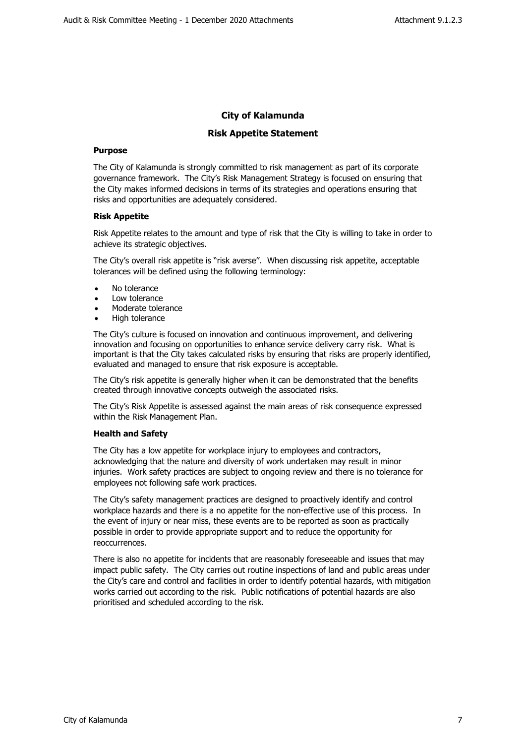## **City of Kalamunda**

## **Risk Appetite Statement**

## **Purpose**

The City of Kalamunda is strongly committed to risk management as part of its corporate governance framework. The City's Risk Management Strategy is focused on ensuring that the City makes informed decisions in terms of its strategies and operations ensuring that risks and opportunities are adequately considered.

#### **Risk Appetite**

Risk Appetite relates to the amount and type of risk that the City is willing to take in order to achieve its strategic objectives.

The City's overall risk appetite is "risk averse''. When discussing risk appetite, acceptable tolerances will be defined using the following terminology:

- No tolerance
- Low tolerance
- Moderate tolerance
- High tolerance

The City's culture is focused on innovation and continuous improvement, and delivering innovation and focusing on opportunities to enhance service delivery carry risk. What is important is that the City takes calculated risks by ensuring that risks are properly identified, evaluated and managed to ensure that risk exposure is acceptable.

The City's risk appetite is generally higher when it can be demonstrated that the benefits created through innovative concepts outweigh the associated risks.

The City's Risk Appetite is assessed against the main areas of risk consequence expressed within the Risk Management Plan.

## **Health and Safety**

The City has a low appetite for workplace injury to employees and contractors, acknowledging that the nature and diversity of work undertaken may result in minor injuries. Work safety practices are subject to ongoing review and there is no tolerance for employees not following safe work practices.

The City's safety management practices are designed to proactively identify and control workplace hazards and there is a no appetite for the non-effective use of this process. In the event of injury or near miss, these events are to be reported as soon as practically possible in order to provide appropriate support and to reduce the opportunity for reoccurrences.

There is also no appetite for incidents that are reasonably foreseeable and issues that may impact public safety. The City carries out routine inspections of land and public areas under the City's care and control and facilities in order to identify potential hazards, with mitigation works carried out according to the risk. Public notifications of potential hazards are also prioritised and scheduled according to the risk.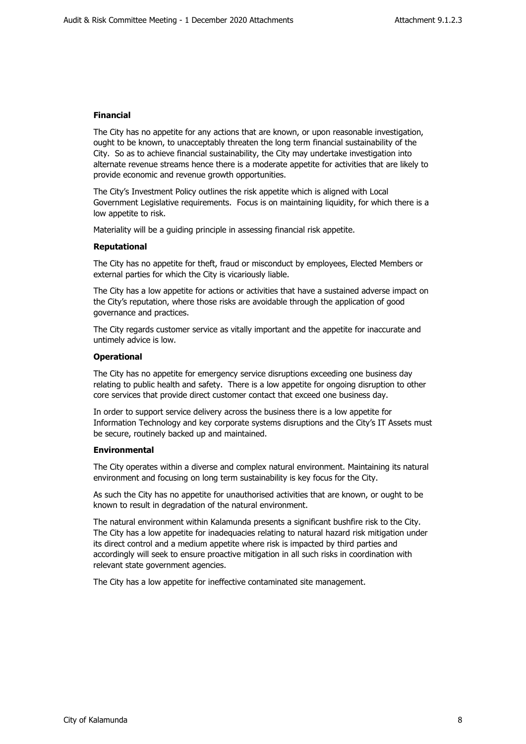#### **Financial**

The City has no appetite for any actions that are known, or upon reasonable investigation, ought to be known, to unacceptably threaten the long term financial sustainability of the City. So as to achieve financial sustainability, the City may undertake investigation into alternate revenue streams hence there is a moderate appetite for activities that are likely to provide economic and revenue growth opportunities.

The City's Investment Policy outlines the risk appetite which is aligned with Local Government Legislative requirements. Focus is on maintaining liquidity, for which there is a low appetite to risk.

Materiality will be a guiding principle in assessing financial risk appetite.

#### **Reputational**

The City has no appetite for theft, fraud or misconduct by employees, Elected Members or external parties for which the City is vicariously liable.

The City has a low appetite for actions or activities that have a sustained adverse impact on the City's reputation, where those risks are avoidable through the application of good governance and practices.

The City regards customer service as vitally important and the appetite for inaccurate and untimely advice is low.

#### **Operational**

The City has no appetite for emergency service disruptions exceeding one business day relating to public health and safety. There is a low appetite for ongoing disruption to other core services that provide direct customer contact that exceed one business day.

In order to support service delivery across the business there is a low appetite for Information Technology and key corporate systems disruptions and the City's IT Assets must be secure, routinely backed up and maintained.

#### **Environmental**

The City operates within a diverse and complex natural environment. Maintaining its natural environment and focusing on long term sustainability is key focus for the City.

As such the City has no appetite for unauthorised activities that are known, or ought to be known to result in degradation of the natural environment.

The natural environment within Kalamunda presents a significant bushfire risk to the City. The City has a low appetite for inadequacies relating to natural hazard risk mitigation under its direct control and a medium appetite where risk is impacted by third parties and accordingly will seek to ensure proactive mitigation in all such risks in coordination with relevant state government agencies.

The City has a low appetite for ineffective contaminated site management.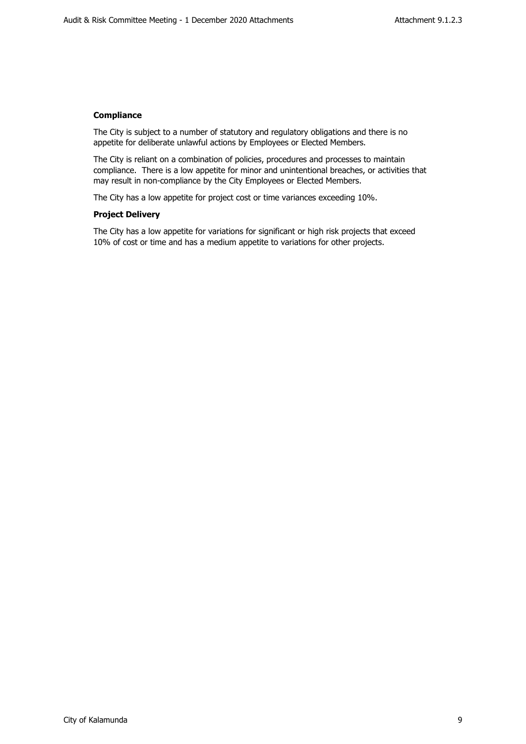## **Compliance**

The City is subject to a number of statutory and regulatory obligations and there is no appetite for deliberate unlawful actions by Employees or Elected Members.

The City is reliant on a combination of policies, procedures and processes to maintain compliance. There is a low appetite for minor and unintentional breaches, or activities that may result in non-compliance by the City Employees or Elected Members.

The City has a low appetite for project cost or time variances exceeding 10%.

## **Project Delivery**

The City has a low appetite for variations for significant or high risk projects that exceed 10% of cost or time and has a medium appetite to variations for other projects.